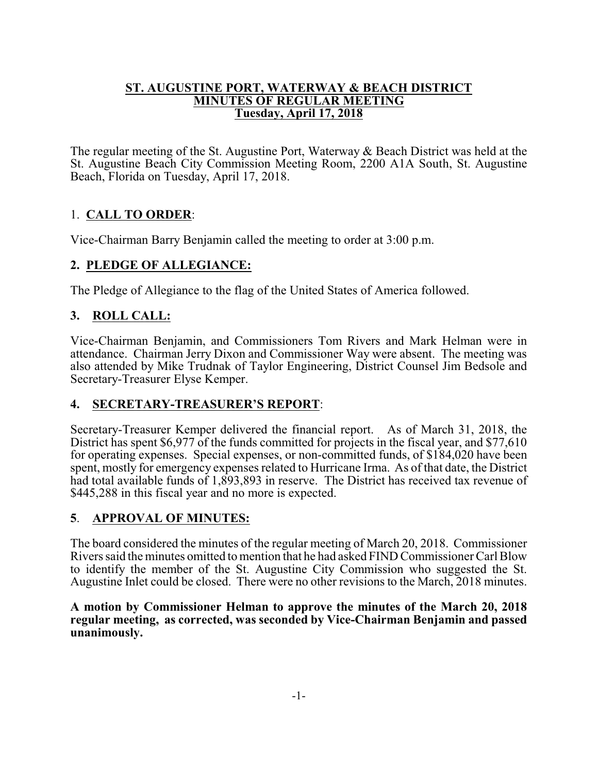#### **ST. AUGUSTINE PORT, WATERWAY & BEACH DISTRICT MINUTES OF REGULAR MEETING Tuesday, April 17, 2018**

The regular meeting of the St. Augustine Port, Waterway & Beach District was held at the St. Augustine Beach City Commission Meeting Room, 2200 A1A South, St. Augustine Beach, Florida on Tuesday, April 17, 2018.

# 1. **CALL TO ORDER**:

Vice-Chairman Barry Benjamin called the meeting to order at 3:00 p.m.

## **2. PLEDGE OF ALLEGIANCE:**

The Pledge of Allegiance to the flag of the United States of America followed.

# **3. ROLL CALL:**

Vice-Chairman Benjamin, and Commissioners Tom Rivers and Mark Helman were in attendance. Chairman Jerry Dixon and Commissioner Way were absent. The meeting was also attended by Mike Trudnak of Taylor Engineering, District Counsel Jim Bedsole and Secretary-Treasurer Elyse Kemper.

## **4. SECRETARY-TREASURER'S REPORT**:

Secretary-Treasurer Kemper delivered the financial report. As of March 31, 2018, the District has spent \$6,977 of the funds committed for projects in the fiscal year, and \$77,610 for operating expenses. Special expenses, or non-committed funds, of \$184,020 have been spent, mostly for emergency expenses related to Hurricane Irma. As of that date, the District had total available funds of 1,893,893 in reserve. The District has received tax revenue of \$445,288 in this fiscal year and no more is expected.

## **5**. **APPROVAL OF MINUTES:**

The board considered the minutes of the regular meeting of March 20, 2018. Commissioner Rivers said the minutes omitted to mention that he had asked FIND Commissioner Carl Blow to identify the member of the St. Augustine City Commission who suggested the St. Augustine Inlet could be closed. There were no other revisions to the March, 2018 minutes.

#### **A motion by Commissioner Helman to approve the minutes of the March 20, 2018 regular meeting, as corrected, was seconded by Vice-Chairman Benjamin and passed unanimously.**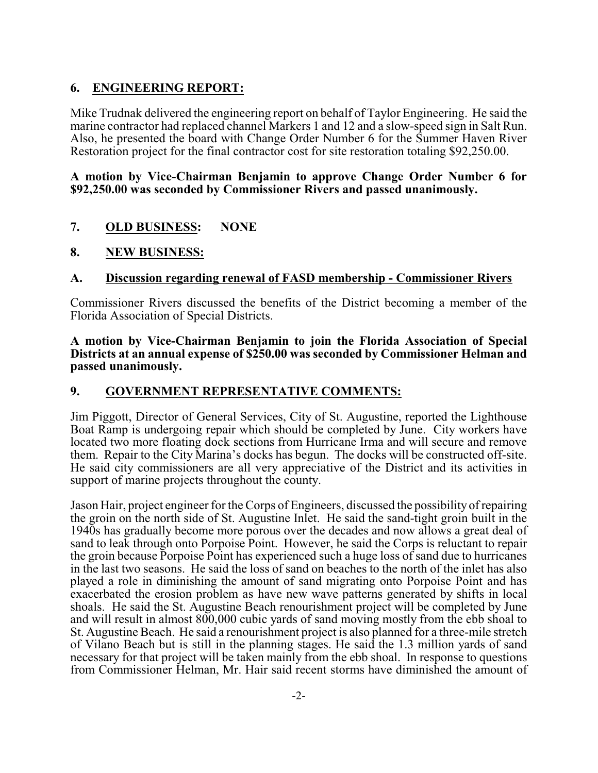## **6. ENGINEERING REPORT:**

Mike Trudnak delivered the engineering report on behalf of Taylor Engineering. He said the marine contractor had replaced channel Markers 1 and 12 and a slow-speed sign in Salt Run. Also, he presented the board with Change Order Number 6 for the Summer Haven River Restoration project for the final contractor cost for site restoration totaling \$92,250.00.

#### **A motion by Vice-Chairman Benjamin to approve Change Order Number 6 for \$92,250.00 was seconded by Commissioner Rivers and passed unanimously.**

## **7. OLD BUSINESS: NONE**

## **8. NEW BUSINESS:**

#### **A. Discussion regarding renewal of FASD membership - Commissioner Rivers**

Commissioner Rivers discussed the benefits of the District becoming a member of the Florida Association of Special Districts.

#### **A motion by Vice-Chairman Benjamin to join the Florida Association of Special Districts at an annual expense of \$250.00 was seconded by Commissioner Helman and passed unanimously.**

## **9. GOVERNMENT REPRESENTATIVE COMMENTS:**

Jim Piggott, Director of General Services, City of St. Augustine, reported the Lighthouse Boat Ramp is undergoing repair which should be completed by June. City workers have located two more floating dock sections from Hurricane Irma and will secure and remove them. Repair to the City Marina's docks has begun. The docks will be constructed off-site. He said city commissioners are all very appreciative of the District and its activities in support of marine projects throughout the county.

Jason Hair, project engineer for the Corps of Engineers, discussed the possibility of repairing the groin on the north side of St. Augustine Inlet. He said the sand-tight groin built in the 1940s has gradually become more porous over the decades and now allows a great deal of sand to leak through onto Porpoise Point. However, he said the Corps is reluctant to repair the groin because Porpoise Point has experienced such a huge loss of sand due to hurricanes in the last two seasons. He said the loss of sand on beaches to the north of the inlet has also played a role in diminishing the amount of sand migrating onto Porpoise Point and has exacerbated the erosion problem as have new wave patterns generated by shifts in local shoals. He said the St. Augustine Beach renourishment project will be completed by June and will result in almost 800,000 cubic yards of sand moving mostly from the ebb shoal to St. Augustine Beach. He said a renourishment project is also planned for a three-mile stretch of Vilano Beach but is still in the planning stages. He said the 1.3 million yards of sand necessary for that project will be taken mainly from the ebb shoal. In response to questions from Commissioner Helman, Mr. Hair said recent storms have diminished the amount of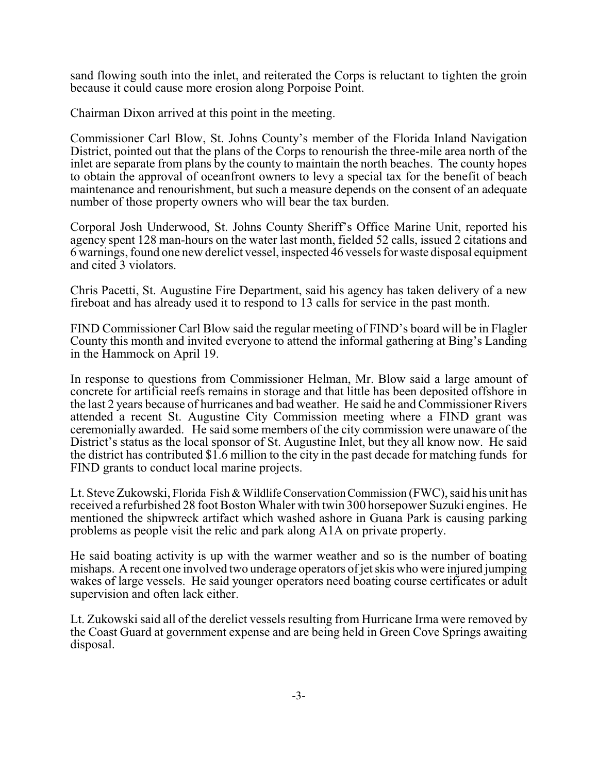sand flowing south into the inlet, and reiterated the Corps is reluctant to tighten the groin because it could cause more erosion along Porpoise Point.

Chairman Dixon arrived at this point in the meeting.

Commissioner Carl Blow, St. Johns County's member of the Florida Inland Navigation District, pointed out that the plans of the Corps to renourish the three-mile area north of the inlet are separate from plans by the county to maintain the north beaches. The county hopes to obtain the approval of oceanfront owners to levy a special tax for the benefit of beach maintenance and renourishment, but such a measure depends on the consent of an adequate number of those property owners who will bear the tax burden.

Corporal Josh Underwood, St. Johns County Sheriff's Office Marine Unit, reported his agency spent 128 man-hours on the water last month, fielded 52 calls, issued 2 citations and 6 warnings, found one new derelict vessel, inspected 46 vessels for waste disposal equipment and cited 3 violators.

Chris Pacetti, St. Augustine Fire Department, said his agency has taken delivery of a new fireboat and has already used it to respond to 13 calls for service in the past month.

FIND Commissioner Carl Blow said the regular meeting of FIND's board will be in Flagler County this month and invited everyone to attend the informal gathering at Bing's Landing in the Hammock on April 19.

In response to questions from Commissioner Helman, Mr. Blow said a large amount of concrete for artificial reefs remains in storage and that little has been deposited offshore in the last 2 years because of hurricanes and bad weather. He said he and Commissioner Rivers attended a recent St. Augustine City Commission meeting where a FIND grant was ceremonially awarded. He said some members of the city commission were unaware of the District's status as the local sponsor of St. Augustine Inlet, but they all know now. He said the district has contributed \$1.6 million to the city in the past decade for matching funds for FIND grants to conduct local marine projects.

Lt. Steve Zukowski, Florida Fish & Wildlife Conservation Commission (FWC), said his unit has received a refurbished 28 foot Boston Whaler with twin 300 horsepower Suzuki engines. He mentioned the shipwreck artifact which washed ashore in Guana Park is causing parking problems as people visit the relic and park along A1A on private property.

He said boating activity is up with the warmer weather and so is the number of boating mishaps. A recent one involved two underage operators of jet skis who were injured jumping wakes of large vessels. He said younger operators need boating course certificates or adult supervision and often lack either.

Lt. Zukowski said all of the derelict vessels resulting from Hurricane Irma were removed by the Coast Guard at government expense and are being held in Green Cove Springs awaiting disposal.